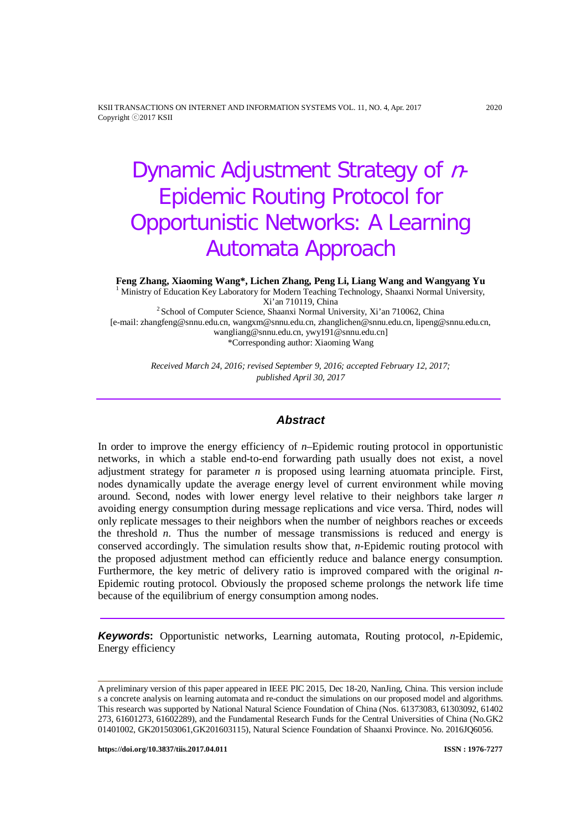KSII TRANSACTIONS ON INTERNET AND INFORMATION SYSTEMS VOL. 11, NO. 4, Apr. 2017 2020 Copyright ⓒ2017 KSII

# Dynamic Adjustment Strategy of n-Epidemic Routing Protocol for Opportunistic Networks: A Learning Automata Approach

**Feng Zhang, Xiaoming Wang\*, Lichen Zhang, Peng Li, Liang Wang and Wangyang Yu** <sup>1</sup> Ministry of Education Key Laboratory for Modern Teaching Technology, Shaanxi Normal University, Xi'an 710119, China  $2$ School of Computer Science, Shaanxi Normal University, Xi'an 710062, China [e-mail: zhangfeng@snnu.edu.cn, wangxm@snnu.edu.cn, zhanglichen@snnu.edu.cn, lipeng@snnu.edu.cn, wangliang@snnu.edu.cn, ywy191@snnu.edu.cn] \*Corresponding author: Xiaoming Wang

> *Received March 24, 2016; revised September 9, 2016; accepted February 12, 2017; published April 30, 2017*

## *Abstract*

In order to improve the energy efficiency of *n*–Epidemic routing protocol in opportunistic networks, in which a stable end-to-end forwarding path usually does not exist, a novel adjustment strategy for parameter *n* is proposed using learning atuomata principle. First, nodes dynamically update the average energy level of current environment while moving around. Second, nodes with lower energy level relative to their neighbors take larger *n* avoiding energy consumption during message replications and vice versa. Third, nodes will only replicate messages to their neighbors when the number of neighbors reaches or exceeds the threshold *n*. Thus the number of message transmissions is reduced and energy is conserved accordingly. The simulation results show that, *n*-Epidemic routing protocol with the proposed adjustment method can efficiently reduce and balance energy consumption. Furthermore, the key metric of delivery ratio is improved compared with the original *n*-Epidemic routing protocol. Obviously the proposed scheme prolongs the network life time because of the equilibrium of energy consumption among nodes.

*Keywords***:** Opportunistic networks, Learning automata, Routing protocol, *n*-Epidemic, Energy efficiency

A preliminary version of this paper appeared in IEEE PIC 2015, Dec 18-20, NanJing, China. This version include s a concrete analysis on learning automata and re-conduct the simulations on our proposed model and algorithms. This research was supported by National Natural Science Foundation of China (Nos. 61373083, 61303092, 61402 273, 61601273, 61602289), and the Fundamental Research Funds for the Central Universities of China (No.GK2 01401002, GK201503061,GK201603115), Natural Science Foundation of Shaanxi Province. No. 2016JQ6056.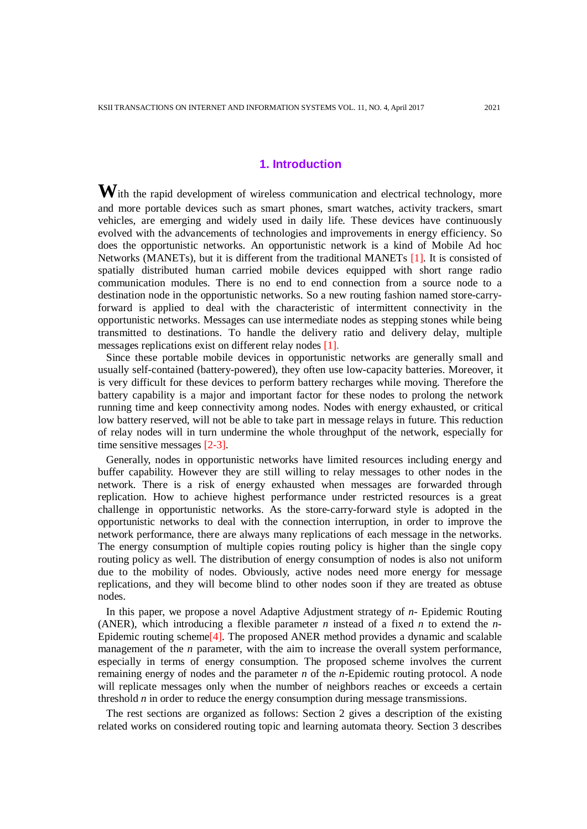# **1. Introduction**

With the rapid development of wireless communication and electrical technology, more and more portable devices such as smart phones, smart watches, activity trackers, smart vehicles, are emerging and widely used in daily life. These devices have continuously evolved with the advancements of technologies and improvements in energy efficiency. So does the opportunistic networks. An opportunistic network is a kind of Mobile Ad hoc Networks (MANETs), but it is different from the traditional MANETs [1]. It is consisted of spatially distributed human carried mobile devices equipped with short range radio communication modules. There is no end to end connection from a source node to a destination node in the opportunistic networks. So a new routing fashion named store-carryforward is applied to deal with the characteristic of intermittent connectivity in the opportunistic networks. Messages can use intermediate nodes as stepping stones while being transmitted to destinations. To handle the delivery ratio and delivery delay, multiple messages replications exist on different relay nodes [1].

Since these portable mobile devices in opportunistic networks are generally small and usually self-contained (battery-powered), they often use low-capacity batteries. Moreover, it is very difficult for these devices to perform battery recharges while moving. Therefore the battery capability is a major and important factor for these nodes to prolong the network running time and keep connectivity among nodes. Nodes with energy exhausted, or critical low battery reserved, will not be able to take part in message relays in future. This reduction of relay nodes will in turn undermine the whole throughput of the network, especially for time sensitive messages [2-3].

Generally, nodes in opportunistic networks have limited resources including energy and buffer capability. However they are still willing to relay messages to other nodes in the network. There is a risk of energy exhausted when messages are forwarded through replication. How to achieve highest performance under restricted resources is a great challenge in opportunistic networks. As the store-carry-forward style is adopted in the opportunistic networks to deal with the connection interruption, in order to improve the network performance, there are always many replications of each message in the networks. The energy consumption of multiple copies routing policy is higher than the single copy routing policy as well. The distribution of energy consumption of nodes is also not uniform due to the mobility of nodes. Obviously, active nodes need more energy for message replications, and they will become blind to other nodes soon if they are treated as obtuse nodes.

In this paper, we propose a novel Adaptive Adjustment strategy of *n*- Epidemic Routing (ANER), which introducing a flexible parameter *n* instead of a fixed *n* to extend the *n*-Epidemic routing scheme[4]. The proposed ANER method provides a dynamic and scalable management of the *n* parameter, with the aim to increase the overall system performance, especially in terms of energy consumption. The proposed scheme involves the current remaining energy of nodes and the parameter *n* of the *n*-Epidemic routing protocol. A node will replicate messages only when the number of neighbors reaches or exceeds a certain threshold *n* in order to reduce the energy consumption during message transmissions.

The rest sections are organized as follows: Section 2 gives a description of the existing related works on considered routing topic and learning automata theory. Section 3 describes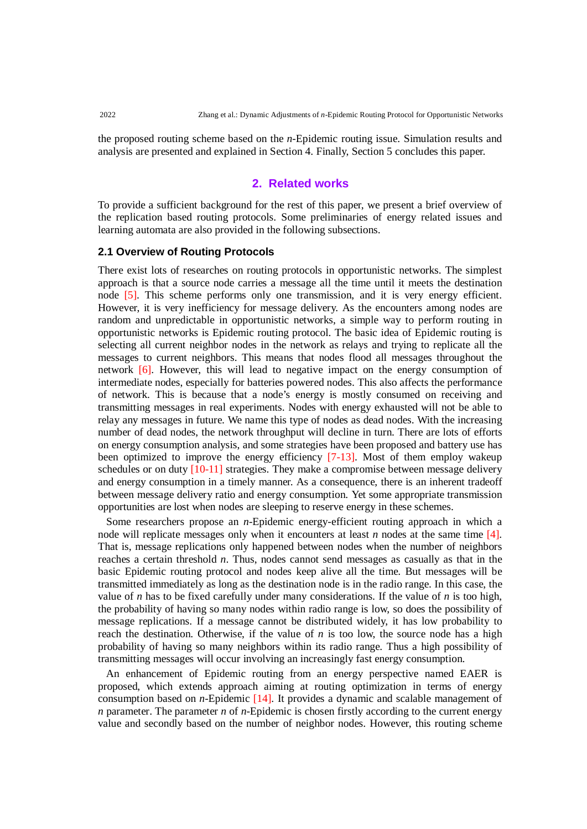the proposed routing scheme based on the *n*-Epidemic routing issue. Simulation results and analysis are presented and explained in Section 4. Finally, Section 5 concludes this paper.

## **2. Related works**

To provide a sufficient background for the rest of this paper, we present a brief overview of the replication based routing protocols. Some preliminaries of energy related issues and learning automata are also provided in the following subsections.

#### **2.1 Overview of Routing Protocols**

There exist lots of researches on routing protocols in opportunistic networks. The simplest approach is that a source node carries a message all the time until it meets the destination node [5]. This scheme performs only one transmission, and it is very energy efficient. However, it is very inefficiency for message delivery. As the encounters among nodes are random and unpredictable in opportunistic networks, a simple way to perform routing in opportunistic networks is Epidemic routing protocol. The basic idea of Epidemic routing is selecting all current neighbor nodes in the network as relays and trying to replicate all the messages to current neighbors. This means that nodes flood all messages throughout the network [6]. However, this will lead to negative impact on the energy consumption of intermediate nodes, especially for batteries powered nodes. This also affects the performance of network. This is because that a node's energy is mostly consumed on receiving and transmitting messages in real experiments. Nodes with energy exhausted will not be able to relay any messages in future. We name this type of nodes as dead nodes. With the increasing number of dead nodes, the network throughput will decline in turn. There are lots of efforts on energy consumption analysis, and some strategies have been proposed and battery use has been optimized to improve the energy efficiency [7-13]. Most of them employ wakeup schedules or on duty  $[10-11]$  strategies. They make a compromise between message delivery and energy consumption in a timely manner. As a consequence, there is an inherent tradeoff between message delivery ratio and energy consumption. Yet some appropriate transmission opportunities are lost when nodes are sleeping to reserve energy in these schemes.

Some researchers propose an *n*-Epidemic energy-efficient routing approach in which a node will replicate messages only when it encounters at least *n* nodes at the same time [4]. That is, message replications only happened between nodes when the number of neighbors reaches a certain threshold *n*. Thus, nodes cannot send messages as casually as that in the basic Epidemic routing protocol and nodes keep alive all the time. But messages will be transmitted immediately as long as the destination node is in the radio range. In this case, the value of *n* has to be fixed carefully under many considerations. If the value of *n* is too high, the probability of having so many nodes within radio range is low, so does the possibility of message replications. If a message cannot be distributed widely, it has low probability to reach the destination. Otherwise, if the value of  $n$  is too low, the source node has a high probability of having so many neighbors within its radio range. Thus a high possibility of transmitting messages will occur involving an increasingly fast energy consumption.

An enhancement of Epidemic routing from an energy perspective named EAER is proposed, which extends approach aiming at routing optimization in terms of energy consumption based on *n*-Epidemic [14]. It provides a dynamic and scalable management of *n* parameter. The parameter *n* of *n*-Epidemic is chosen firstly according to the current energy value and secondly based on the number of neighbor nodes. However, this routing scheme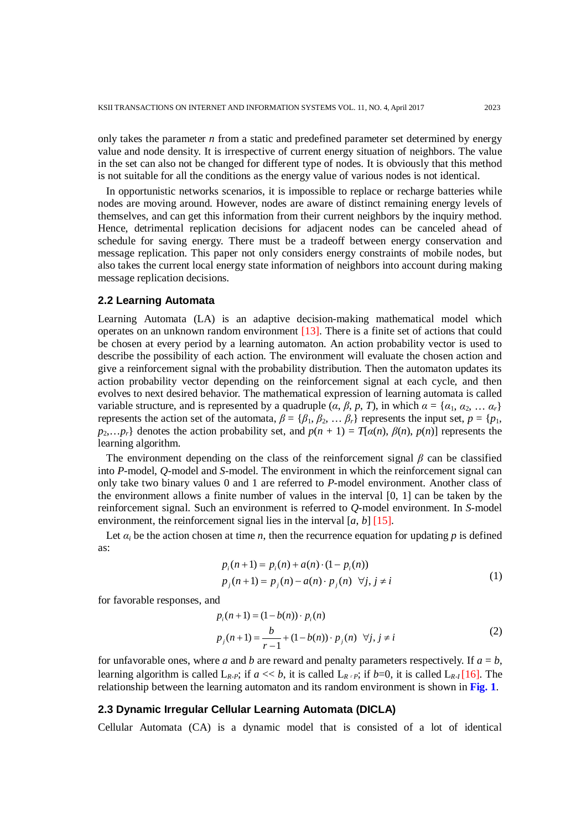only takes the parameter *n* from a static and predefined parameter set determined by energy value and node density. It is irrespective of current energy situation of neighbors. The value in the set can also not be changed for different type of nodes. It is obviously that this method is not suitable for all the conditions as the energy value of various nodes is not identical.

In opportunistic networks scenarios, it is impossible to replace or recharge batteries while nodes are moving around. However, nodes are aware of distinct remaining energy levels of themselves, and can get this information from their current neighbors by the inquiry method. Hence, detrimental replication decisions for adjacent nodes can be canceled ahead of schedule for saving energy. There must be a tradeoff between energy conservation and message replication. This paper not only considers energy constraints of mobile nodes, but also takes the current local energy state information of neighbors into account during making message replication decisions.

## **2.2 Learning Automata**

Learning Automata (LA) is an adaptive decision-making mathematical model which operates on an unknown random environment [13]. There is a finite set of actions that could be chosen at every period by a learning automaton. An action probability vector is used to describe the possibility of each action. The environment will evaluate the chosen action and give a reinforcement signal with the probability distribution. Then the automaton updates its action probability vector depending on the reinforcement signal at each cycle, and then evolves to next desired behavior. The mathematical expression of learning automata is called variable structure, and is represented by a quadruple  $(\alpha, \beta, p, T)$ , in which  $\alpha = {\alpha_1, \alpha_2, \dots \alpha_r}$ represents the action set of the automata,  $\beta = {\beta_1, \beta_2, \dots \beta_r}$  represents the input set,  $p = {p_1, \beta_2, \dots, p_r}$  $p_2,...p_r$ } denotes the action probability set, and  $p(n + 1) = T[\alpha(n), \beta(n), p(n)]$  represents the learning algorithm.

The environment depending on the class of the reinforcement signal  $\beta$  can be classified into *P*-model, *Q*-model and *S*-model. The environment in which the reinforcement signal can only take two binary values 0 and 1 are referred to *P*-model environment. Another class of the environment allows a finite number of values in the interval [0, 1] can be taken by the reinforcement signal. Such an environment is referred to *Q*-model environment. In *S*-model environment, the reinforcement signal lies in the interval  $[a, b]$  [15].

Let  $\alpha_i$  be the action chosen at time *n*, then the recurrence equation for updating *p* is defined as:

$$
p_i(n+1) = p_i(n) + a(n) \cdot (1 - p_i(n))
$$
  
\n
$$
p_j(n+1) = p_j(n) - a(n) \cdot p_j(n) \quad \forall j, j \neq i
$$
 (1)

for favorable responses, and

$$
p_i(n+1) = (1 - b(n)) \cdot p_i(n)
$$
  
\n
$$
p_j(n+1) = \frac{b}{r-1} + (1 - b(n)) \cdot p_j(n) \quad \forall j, j \neq i
$$
 (2)

for unfavorable ones, where *a* and *b* are reward and penalty parameters respectively. If  $a = b$ , learning algorithm is called  $L_{R-P}$ ; if  $a \ll b$ , it is called  $L_{R+P}$ ; if  $b=0$ , it is called  $L_{R-I}$  [16]. The relationship between the learning automaton and its random environment is shown in **Fig. 1**.

#### **2.3 Dynamic Irregular Cellular Learning Automata (DICLA)**

Cellular Automata (CA) is a dynamic model that is consisted of a lot of identical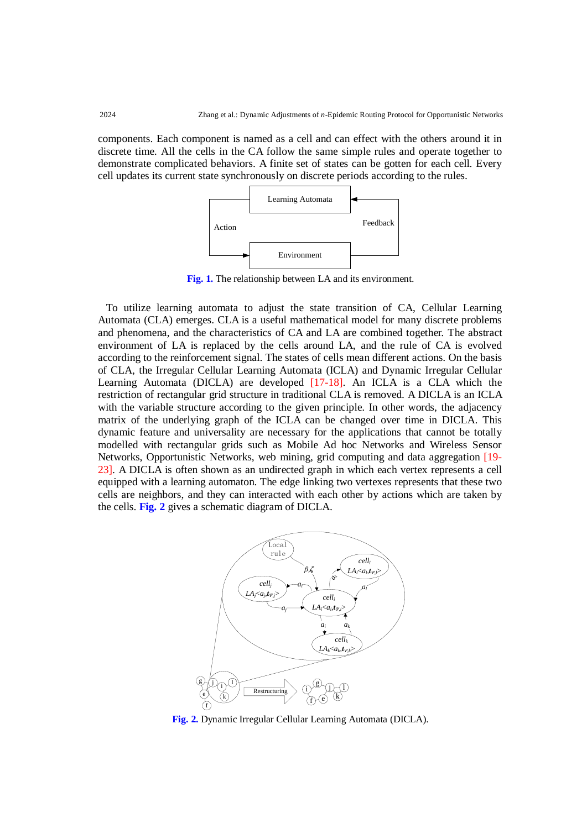components. Each component is named as a cell and can effect with the others around it in discrete time. All the cells in the CA follow the same simple rules and operate together to demonstrate complicated behaviors. A finite set of states can be gotten for each cell. Every cell updates its current state synchronously on discrete periods according to the rules.



**Fig. 1.** The relationship between LA and its environment.

To utilize learning automata to adjust the state transition of CA, Cellular Learning Automata (CLA) emerges. CLA is a useful mathematical model for many discrete problems and phenomena, and the characteristics of CA and LA are combined together. The abstract environment of LA is replaced by the cells around LA, and the rule of CA is evolved according to the reinforcement signal. The states of cells mean different actions. On the basis of CLA, the Irregular Cellular Learning Automata (ICLA) and Dynamic Irregular Cellular Learning Automata (DICLA) are developed [17-18]. An ICLA is a CLA which the restriction of rectangular grid structure in traditional CLA is removed. A DICLA is an ICLA with the variable structure according to the given principle. In other words, the adjacency matrix of the underlying graph of the ICLA can be changed over time in DICLA. This dynamic feature and universality are necessary for the applications that cannot be totally modelled with rectangular grids such as Mobile Ad hoc Networks and Wireless Sensor Networks, Opportunistic Networks, web mining, grid computing and data aggregation [19- 23]. A DICLA is often shown as an undirected graph in which each vertex represents a cell equipped with a learning automaton. The edge linking two vertexes represents that these two cells are neighbors, and they can interacted with each other by actions which are taken by the cells. **Fig. 2** gives a schematic diagram of DICLA.



**Fig. 2.** Dynamic Irregular Cellular Learning Automata (DICLA).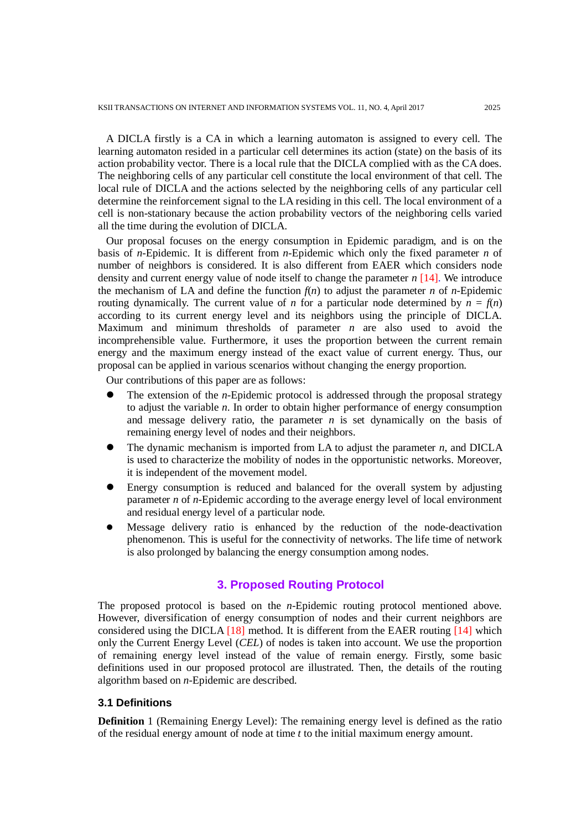A DICLA firstly is a CA in which a learning automaton is assigned to every cell. The learning automaton resided in a particular cell determines its action (state) on the basis of its action probability vector. There is a local rule that the DICLA complied with as the CA does. The neighboring cells of any particular cell constitute the local environment of that cell. The local rule of DICLA and the actions selected by the neighboring cells of any particular cell determine the reinforcement signal to the LA residing in this cell. The local environment of a cell is non-stationary because the action probability vectors of the neighboring cells varied all the time during the evolution of DICLA.

Our proposal focuses on the energy consumption in Epidemic paradigm, and is on the basis of *n*-Epidemic. It is different from *n*-Epidemic which only the fixed parameter *n* of number of neighbors is considered. It is also different from EAER which considers node density and current energy value of node itself to change the parameter *n* [14]. We introduce the mechanism of LA and define the function  $f(n)$  to adjust the parameter *n* of *n*-Epidemic routing dynamically. The current value of *n* for a particular node determined by  $n = f(n)$ according to its current energy level and its neighbors using the principle of DICLA. Maximum and minimum thresholds of parameter *n* are also used to avoid the incomprehensible value. Furthermore, it uses the proportion between the current remain energy and the maximum energy instead of the exact value of current energy. Thus, our proposal can be applied in various scenarios without changing the energy proportion.

Our contributions of this paper are as follows:

- The extension of the *n*-Epidemic protocol is addressed through the proposal strategy to adjust the variable *n*. In order to obtain higher performance of energy consumption and message delivery ratio, the parameter  $n$  is set dynamically on the basis of remaining energy level of nodes and their neighbors.
- The dynamic mechanism is imported from LA to adjust the parameter *n*, and DICLA is used to characterize the mobility of nodes in the opportunistic networks. Moreover, it is independent of the movement model.
- Energy consumption is reduced and balanced for the overall system by adjusting parameter *n* of *n*-Epidemic according to the average energy level of local environment and residual energy level of a particular node.
- Message delivery ratio is enhanced by the reduction of the node-deactivation phenomenon. This is useful for the connectivity of networks. The life time of network is also prolonged by balancing the energy consumption among nodes.

#### **3. Proposed Routing Protocol**

The proposed protocol is based on the *n*-Epidemic routing protocol mentioned above. However, diversification of energy consumption of nodes and their current neighbors are considered using the DICLA  $[18]$  method. It is different from the EAER routing  $[14]$  which only the Current Energy Level (*CEL*) of nodes is taken into account. We use the proportion of remaining energy level instead of the value of remain energy. Firstly, some basic definitions used in our proposed protocol are illustrated. Then, the details of the routing algorithm based on *n*-Epidemic are described.

#### **3.1 Definitions**

**Definition** 1 (Remaining Energy Level): The remaining energy level is defined as the ratio of the residual energy amount of node at time *t* to the initial maximum energy amount.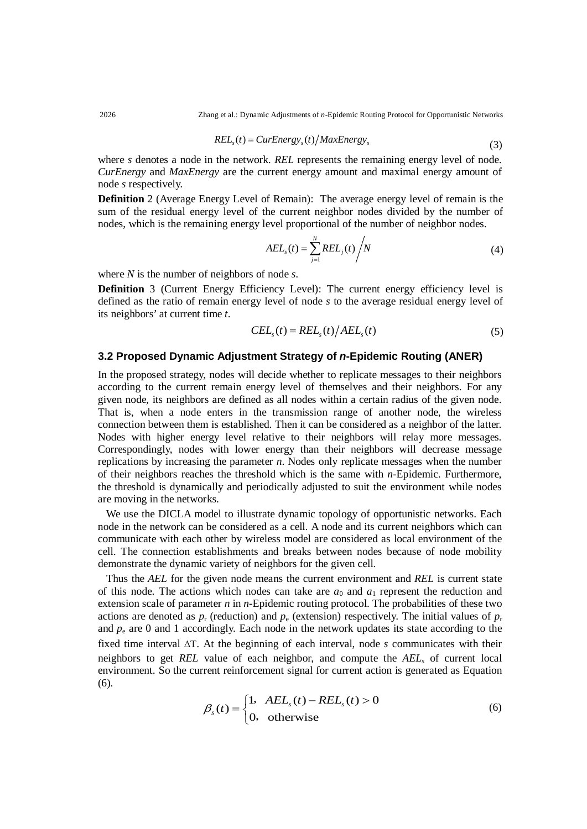2026 Zhang et al.: Dynamic Adjustments of *n*-Epidemic Routing Protocol for Opportunistic Networks

$$
RELs(t) = CurEnergys(t)/MaxEnergys
$$
\n(3)

where *s* denotes a node in the network. *REL* represents the remaining energy level of node. *CurEnergy* and *MaxEnergy* are the current energy amount and maximal energy amount of node *s* respectively.

**Definition** 2 (Average Energy Level of Remain): The average energy level of remain is the sum of the residual energy level of the current neighbor nodes divided by the number of nodes, which is the remaining energy level proportional of the number of neighbor nodes.

$$
AEL_s(t) = \sum_{j=1}^{N} REL_j(t) / N
$$
\n(4)

where *N* is the number of neighbors of node *s*.

**Definition** 3 (Current Energy Efficiency Level): The current energy efficiency level is defined as the ratio of remain energy level of node *s* to the average residual energy level of its neighbors' at current time *t*.

$$
CELs(t) = RELs(t)/AELs(t)
$$
\n(5)

#### **3.2 Proposed Dynamic Adjustment Strategy of** *n***-Epidemic Routing (ANER)**

In the proposed strategy, nodes will decide whether to replicate messages to their neighbors according to the current remain energy level of themselves and their neighbors. For any given node, its neighbors are defined as all nodes within a certain radius of the given node. That is, when a node enters in the transmission range of another node, the wireless connection between them is established. Then it can be considered as a neighbor of the latter. Nodes with higher energy level relative to their neighbors will relay more messages. Correspondingly, nodes with lower energy than their neighbors will decrease message replications by increasing the parameter *n*. Nodes only replicate messages when the number of their neighbors reaches the threshold which is the same with *n*-Epidemic. Furthermore, the threshold is dynamically and periodically adjusted to suit the environment while nodes are moving in the networks.

We use the DICLA model to illustrate dynamic topology of opportunistic networks. Each node in the network can be considered as a cell. A node and its current neighbors which can communicate with each other by wireless model are considered as local environment of the cell. The connection establishments and breaks between nodes because of node mobility demonstrate the dynamic variety of neighbors for the given cell.

Thus the *AEL* for the given node means the current environment and *REL* is current state of this node. The actions which nodes can take are  $a_0$  and  $a_1$  represent the reduction and extension scale of parameter *n* in *n*-Epidemic routing protocol. The probabilities of these two actions are denoted as  $p_r$  (reduction) and  $p_e$  (extension) respectively. The initial values of  $p_r$ and  $p_e$  are 0 and 1 accordingly. Each node in the network updates its state according to the fixed time interval ∆T. At the beginning of each interval, node *s* communicates with their neighbors to get *REL* value of each neighbor, and compute the *AELs* of current local environment. So the current reinforcement signal for current action is generated as Equation (6).

$$
\beta_s(t) = \begin{cases} 1, & AEL_s(t) - REL_s(t) > 0 \\ 0, & \text{otherwise} \end{cases}
$$
(6)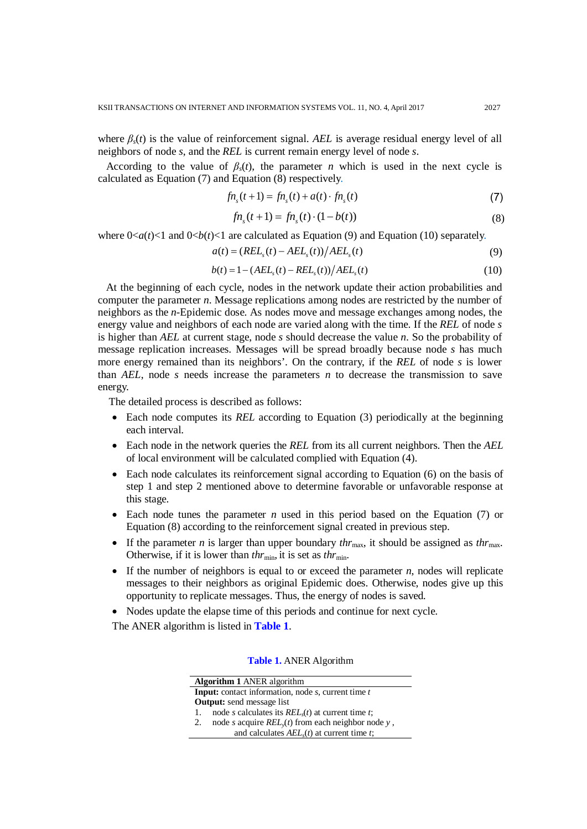where  $\beta_s(t)$  is the value of reinforcement signal. AEL is average residual energy level of all neighbors of node *s*, and the *REL* is current remain energy level of node *s*.

According to the value of  $\beta_s(t)$ , the parameter *n* which is used in the next cycle is calculated as Equation  $(7)$  and Equation  $(8)$  respectively.

$$
fn_s(t+1) = fn_s(t) + a(t) \cdot fn_s(t)
$$
\n(7)

$$
fn_s(t+1) = fn_s(t) \cdot (1 - b(t))
$$
\n(8)

where  $0 < a(t) < 1$  and  $0 < b(t) < 1$  are calculated as Equation (9) and Equation (10) separately.

$$
a(t) = (RELs(t) - AELs(t))/AELs(t)
$$
\n(9)

$$
b(t) = 1 - (AELs(t) - RELs(t))/AELs(t)
$$
\n(10)

At the beginning of each cycle, nodes in the network update their action probabilities and computer the parameter *n*. Message replications among nodes are restricted by the number of neighbors as the *n*-Epidemic dose. As nodes move and message exchanges among nodes, the energy value and neighbors of each node are varied along with the time. If the *REL* of node *s* is higher than *AEL* at current stage, node *s* should decrease the value *n*. So the probability of message replication increases. Messages will be spread broadly because node *s* has much more energy remained than its neighbors'. On the contrary, if the *REL* of node *s* is lower than *AEL*, node *s* needs increase the parameters *n* to decrease the transmission to save energy.

The detailed process is described as follows:

- Each node computes its *REL* according to Equation (3) periodically at the beginning each interval.
- Each node in the network queries the *REL* from its all current neighbors. Then the *AEL* of local environment will be calculated complied with Equation (4).
- Each node calculates its reinforcement signal according to Equation (6) on the basis of step 1 and step 2 mentioned above to determine favorable or unfavorable response at this stage.
- Each node tunes the parameter *n* used in this period based on the Equation (7) or Equation (8) according to the reinforcement signal created in previous step.
- If the parameter *n* is larger than upper boundary  $thr_{\text{max}}$ , it should be assigned as  $thr_{\text{max}}$ . Otherwise, if it is lower than  $thr_{\text{min}}$ , it is set as  $thr_{\text{min}}$ .
- If the number of neighbors is equal to or exceed the parameter *n*, nodes will replicate messages to their neighbors as original Epidemic does. Otherwise, nodes give up this opportunity to replicate messages. Thus, the energy of nodes is saved.
- Nodes update the elapse time of this periods and continue for next cycle.

The ANER algorithm is listed in **Table 1**.

| <b>Algorithm 1 ANER algorithm</b>                                        |                                                        |  |
|--------------------------------------------------------------------------|--------------------------------------------------------|--|
| <b>Input:</b> contact information, node <i>s</i> , current time <i>t</i> |                                                        |  |
| <b>Output:</b> send message list                                         |                                                        |  |
|                                                                          | node s calculates its $RELs(t)$ at current time t;     |  |
| 2.                                                                       | node s acquire $REL_{y}(t)$ from each neighbor node y, |  |
|                                                                          | and calculates $AELs(t)$ at current time t;            |  |

**Table 1.** ANER Algorithm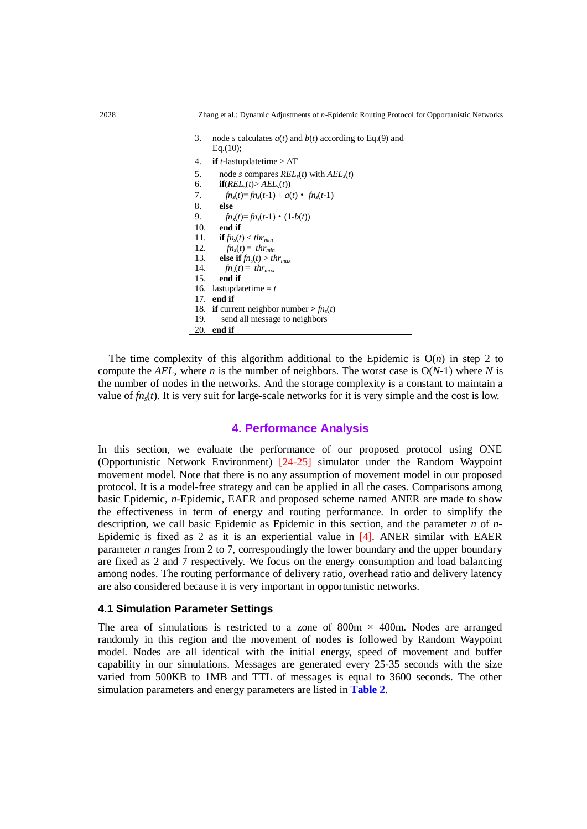- 3. node *s* calculates *a*(*t*) and *b*(*t*) according to Eq.(9) and Eq.(10);
- 4. **if** *t*-lastupdatetime > ∆T
- 5. node *s* compares  $REL<sub>s</sub>(t)$  with  $AEL<sub>s</sub>(t)$
- 6. **if** $(REL<sub>s</sub>(t) > AEL<sub>s</sub>(t))$
- 7.  $\mathbf{f}n_{s}(t) = \mathbf{f}n_{s}(t-1) + a(t) \cdot \mathbf{f}n_{s}(t-1)$ 8. **else**
- 9.  $fn_s(t) = fn_s(t-1) \cdot (1-b(t))$ <br>10. **end if**
- end if
- 11. **if**  $fn_s(t) < thr_{min}$
- 12.  $fn_s(t) = thr_{min}$
- 13. **else if**  $fn_s(t) > thr_{max}$ <br>14.  $fn_s(t) = thr_{max}$ 
	- $fn_s(t) = thr_{max}$
- 15. **end if**
- 16. lastupdatetime  $= t$
- 17. **end if**
- 
- 18. **if** current neighbor number  $> fn_s(t)$ <br>19. send all message to neighbors send all message to neighbors
- 20. **end if**

The time complexity of this algorithm additional to the Epidemic is  $O(n)$  in step 2 to compute the *AEL*, where *n* is the number of neighbors. The worst case is  $O(N-1)$  where *N* is the number of nodes in the networks. And the storage complexity is a constant to maintain a value of  $fn_s(t)$ . It is very suit for large-scale networks for it is very simple and the cost is low.

## **4. Performance Analysis**

In this section, we evaluate the performance of our proposed protocol using ONE (Opportunistic Network Environment) [24-25] simulator under the Random Waypoint movement model. Note that there is no any assumption of movement model in our proposed protocol. It is a model-free strategy and can be applied in all the cases. Comparisons among basic Epidemic, *n*-Epidemic, EAER and proposed scheme named ANER are made to show the effectiveness in term of energy and routing performance. In order to simplify the description, we call basic Epidemic as Epidemic in this section, and the parameter *n* of *n*-Epidemic is fixed as 2 as it is an experiential value in [4]. ANER similar with EAER parameter *n* ranges from 2 to 7, correspondingly the lower boundary and the upper boundary are fixed as 2 and 7 respectively. We focus on the energy consumption and load balancing among nodes. The routing performance of delivery ratio, overhead ratio and delivery latency are also considered because it is very important in opportunistic networks.

## **4.1 Simulation Parameter Settings**

The area of simulations is restricted to a zone of 800m  $\times$  400m. Nodes are arranged randomly in this region and the movement of nodes is followed by Random Waypoint model. Nodes are all identical with the initial energy, speed of movement and buffer capability in our simulations. Messages are generated every 25-35 seconds with the size varied from 500KB to 1MB and TTL of messages is equal to 3600 seconds. The other simulation parameters and energy parameters are listed in **Table 2**.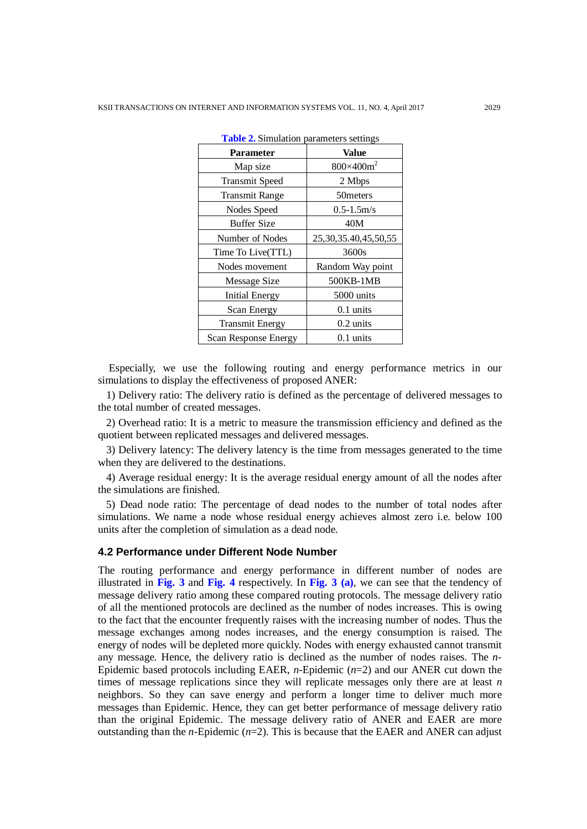| <b>Parameter</b>            | <b>Value</b>               |
|-----------------------------|----------------------------|
| Map size                    | $800\times400m^2$          |
| <b>Transmit Speed</b>       | 2 Mbps                     |
| <b>Transmit Range</b>       | 50 meters                  |
| Nodes Speed                 | $0.5 - 1.5$ m/s            |
| <b>Buffer Size</b>          | 40M                        |
| Number of Nodes             | 25, 30, 35. 40, 45, 50, 55 |
| Time To Live(TTL)           | 3600s                      |
| Nodes movement              | Random Way point           |
| Message Size                | 500KB-1MB                  |
| <b>Initial Energy</b>       | 5000 units                 |
| Scan Energy                 | $0.1 \text{ units}$        |
| <b>Transmit Energy</b>      | $0.2 \text{ units}$        |
| <b>Scan Response Energy</b> | $0.1 \text{ units}$        |

**Table 2.** Simulation parameters settings

Especially, we use the following routing and energy performance metrics in our simulations to display the effectiveness of proposed ANER:

1) Delivery ratio: The delivery ratio is defined as the percentage of delivered messages to the total number of created messages.

2) Overhead ratio: It is a metric to measure the transmission efficiency and defined as the quotient between replicated messages and delivered messages.

3) Delivery latency: The delivery latency is the time from messages generated to the time when they are delivered to the destinations.

4) Average residual energy: It is the average residual energy amount of all the nodes after the simulations are finished.

5) Dead node ratio: The percentage of dead nodes to the number of total nodes after simulations. We name a node whose residual energy achieves almost zero i.e. below 100 units after the completion of simulation as a dead node.

#### **4.2 Performance under Different Node Number**

The routing performance and energy performance in different number of nodes are illustrated in **Fig. 3** and **Fig. 4** respectively. In **Fig. 3 (a)**, we can see that the tendency of message delivery ratio among these compared routing protocols. The message delivery ratio of all the mentioned protocols are declined as the number of nodes increases. This is owing to the fact that the encounter frequently raises with the increasing number of nodes. Thus the message exchanges among nodes increases, and the energy consumption is raised. The energy of nodes will be depleted more quickly. Nodes with energy exhausted cannot transmit any message. Hence, the delivery ratio is declined as the number of nodes raises. The *n*-Epidemic based protocols including EAER, *n*-Epidemic (*n*=2) and our ANER cut down the times of message replications since they will replicate messages only there are at least *n* neighbors. So they can save energy and perform a longer time to deliver much more messages than Epidemic. Hence, they can get better performance of message delivery ratio than the original Epidemic. The message delivery ratio of ANER and EAER are more outstanding than the *n*-Epidemic ( $n=2$ ). This is because that the EAER and ANER can adjust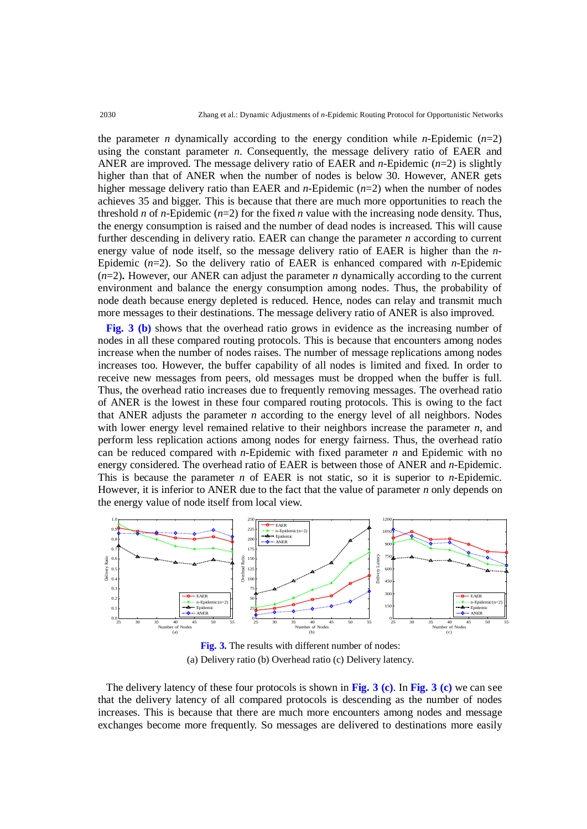the parameter *n* dynamically according to the energy condition while *n*-Epidemic  $(n=2)$ using the constant parameter *n*. Consequently, the message delivery ratio of EAER and ANER are improved. The message delivery ratio of EAER and *n*-Epidemic (*n*=2) is slightly higher than that of ANER when the number of nodes is below 30. However, ANER gets higher message delivery ratio than EAER and *n*-Epidemic (*n*=2) when the number of nodes achieves 35 and bigger. This is because that there are much more opportunities to reach the threshold *n* of *n*-Epidemic ( $n=2$ ) for the fixed *n* value with the increasing node density. Thus, the energy consumption is raised and the number of dead nodes is increased. This will cause further descending in delivery ratio. EAER can change the parameter *n* according to current energy value of node itself, so the message delivery ratio of EAER is higher than the *n*-Epidemic (*n*=2). So the delivery ratio of EAER is enhanced compared with *n*-Epidemic  $(n=2)$ . However, our ANER can adjust the parameter *n* dynamically according to the current environment and balance the energy consumption among nodes. Thus, the probability of node death because energy depleted is reduced. Hence, nodes can relay and transmit much more messages to their destinations. The message delivery ratio of ANER is also improved.

**Fig. 3 (b)** shows that the overhead ratio grows in evidence as the increasing number of nodes in all these compared routing protocols. This is because that encounters among nodes increase when the number of nodes raises. The number of message replications among nodes increases too. However, the buffer capability of all nodes is limited and fixed. In order to receive new messages from peers, old messages must be dropped when the buffer is full. Thus, the overhead ratio increases due to frequently removing messages. The overhead ratio of ANER is the lowest in these four compared routing protocols. This is owing to the fact that ANER adjusts the parameter  $n$  according to the energy level of all neighbors. Nodes with lower energy level remained relative to their neighbors increase the parameter *n*, and perform less replication actions among nodes for energy fairness. Thus, the overhead ratio can be reduced compared with *n*-Epidemic with fixed parameter *n* and Epidemic with no energy considered. The overhead ratio of EAER is between those of ANER and *n*-Epidemic. This is because the parameter *n* of EAER is not static, so it is superior to *n*-Epidemic. However, it is inferior to ANER due to the fact that the value of parameter *n* only depends on the energy value of node itself from local view.



**Fig. 3.** The results with different number of nodes: (a) Delivery ratio (b) Overhead ratio (c) Delivery latency.

The delivery latency of these four protocols is shown in **Fig. 3 (c)**. In **Fig. 3 (c)** we can see that the delivery latency of all compared protocols is descending as the number of nodes increases. This is because that there are much more encounters among nodes and message exchanges become more frequently. So messages are delivered to destinations more easily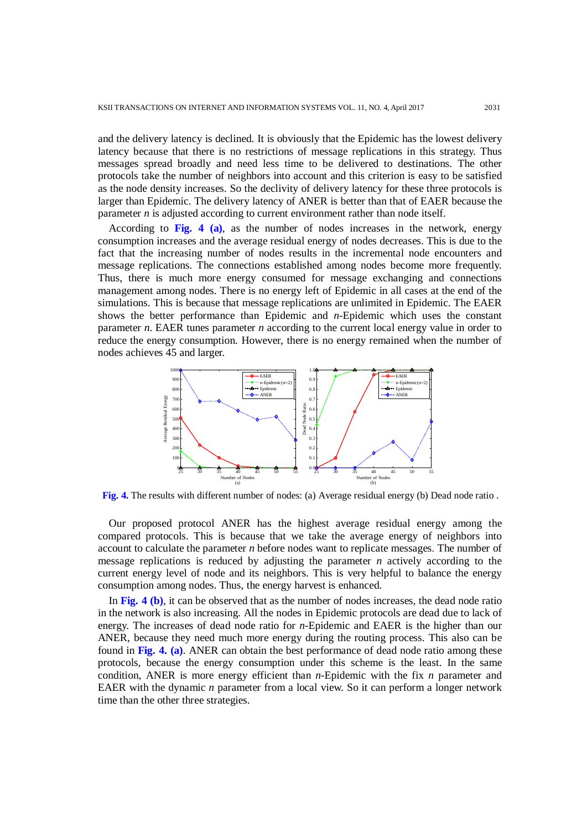and the delivery latency is declined. It is obviously that the Epidemic has the lowest delivery latency because that there is no restrictions of message replications in this strategy. Thus messages spread broadly and need less time to be delivered to destinations. The other protocols take the number of neighbors into account and this criterion is easy to be satisfied as the node density increases. So the declivity of delivery latency for these three protocols is larger than Epidemic. The delivery latency of ANER is better than that of EAER because the parameter *n* is adjusted according to current environment rather than node itself.

According to **Fig. 4 (a)**, as the number of nodes increases in the network, energy consumption increases and the average residual energy of nodes decreases. This is due to the fact that the increasing number of nodes results in the incremental node encounters and message replications. The connections established among nodes become more frequently. Thus, there is much more energy consumed for message exchanging and connections management among nodes. There is no energy left of Epidemic in all cases at the end of the simulations. This is because that message replications are unlimited in Epidemic. The EAER shows the better performance than Epidemic and *n*-Epidemic which uses the constant parameter *n*. EAER tunes parameter *n* according to the current local energy value in order to reduce the energy consumption. However, there is no energy remained when the number of nodes achieves 45 and larger.



**Fig. 4.** The results with different number of nodes: (a) Average residual energy (b) Dead node ratio .

Our proposed protocol ANER has the highest average residual energy among the compared protocols. This is because that we take the average energy of neighbors into account to calculate the parameter *n* before nodes want to replicate messages. The number of message replications is reduced by adjusting the parameter *n* actively according to the current energy level of node and its neighbors. This is very helpful to balance the energy consumption among nodes. Thus, the energy harvest is enhanced.

In **Fig. 4 (b)**, it can be observed that as the number of nodes increases, the dead node ratio in the network is also increasing. All the nodes in Epidemic protocols are dead due to lack of energy. The increases of dead node ratio for *n*-Epidemic and EAER is the higher than our ANER, because they need much more energy during the routing process. This also can be found in **Fig. 4. (a)**. ANER can obtain the best performance of dead node ratio among these protocols, because the energy consumption under this scheme is the least. In the same condition, ANER is more energy efficient than *n*-Epidemic with the fix *n* parameter and EAER with the dynamic *n* parameter from a local view. So it can perform a longer network time than the other three strategies.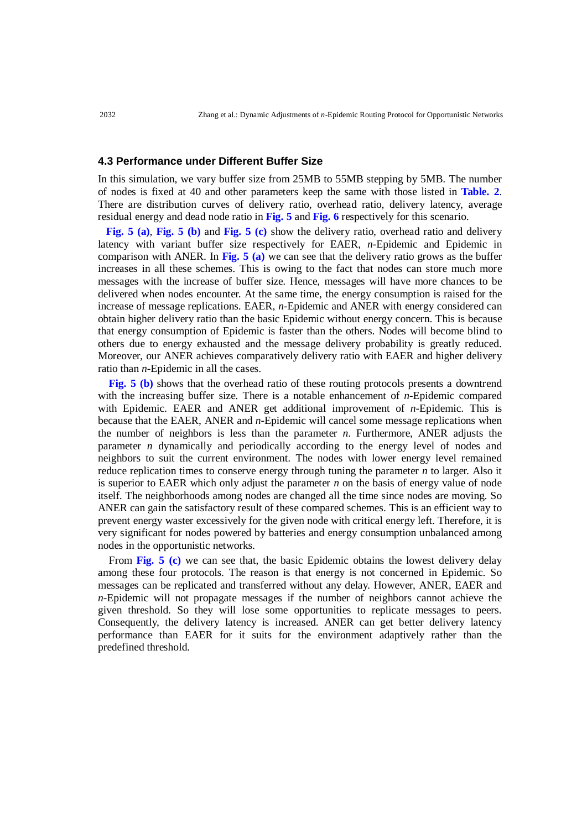#### **4.3 Performance under Different Buffer Size**

In this simulation, we vary buffer size from 25MB to 55MB stepping by 5MB. The number of nodes is fixed at 40 and other parameters keep the same with those listed in **Table. 2**. There are distribution curves of delivery ratio, overhead ratio, delivery latency, average residual energy and dead node ratio in **Fig. 5** and **Fig. 6** respectively for this scenario.

**Fig. 5 (a)**, **Fig. 5 (b)** and **Fig. 5 (c)** show the delivery ratio, overhead ratio and delivery latency with variant buffer size respectively for EAER, *n*-Epidemic and Epidemic in comparison with ANER. In **Fig. 5 (a)** we can see that the delivery ratio grows as the buffer increases in all these schemes. This is owing to the fact that nodes can store much more messages with the increase of buffer size. Hence, messages will have more chances to be delivered when nodes encounter. At the same time, the energy consumption is raised for the increase of message replications. EAER, *n*-Epidemic and ANER with energy considered can obtain higher delivery ratio than the basic Epidemic without energy concern. This is because that energy consumption of Epidemic is faster than the others. Nodes will become blind to others due to energy exhausted and the message delivery probability is greatly reduced. Moreover, our ANER achieves comparatively delivery ratio with EAER and higher delivery ratio than *n*-Epidemic in all the cases.

**Fig. 5 (b)** shows that the overhead ratio of these routing protocols presents a downtrend with the increasing buffer size. There is a notable enhancement of *n*-Epidemic compared with Epidemic. EAER and ANER get additional improvement of *n*-Epidemic. This is because that the EAER, ANER and *n*-Epidemic will cancel some message replications when the number of neighbors is less than the parameter *n*. Furthermore, ANER adjusts the parameter *n* dynamically and periodically according to the energy level of nodes and neighbors to suit the current environment. The nodes with lower energy level remained reduce replication times to conserve energy through tuning the parameter *n* to larger. Also it is superior to EAER which only adjust the parameter *n* on the basis of energy value of node itself. The neighborhoods among nodes are changed all the time since nodes are moving. So ANER can gain the satisfactory result of these compared schemes. This is an efficient way to prevent energy waster excessively for the given node with critical energy left. Therefore, it is very significant for nodes powered by batteries and energy consumption unbalanced among nodes in the opportunistic networks.

From **Fig. 5 (c)** we can see that, the basic Epidemic obtains the lowest delivery delay among these four protocols. The reason is that energy is not concerned in Epidemic. So messages can be replicated and transferred without any delay. However, ANER, EAER and *n*-Epidemic will not propagate messages if the number of neighbors cannot achieve the given threshold. So they will lose some opportunities to replicate messages to peers. Consequently, the delivery latency is increased. ANER can get better delivery latency performance than EAER for it suits for the environment adaptively rather than the predefined threshold.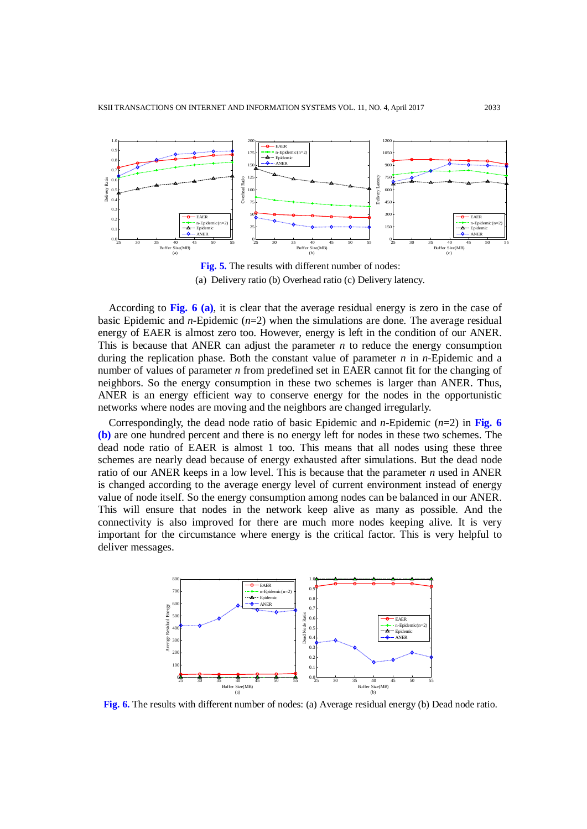

**Fig. 5.** The results with different number of nodes: (a) Delivery ratio (b) Overhead ratio (c) Delivery latency.

According to **Fig. 6 (a)**, it is clear that the average residual energy is zero in the case of basic Epidemic and *n*-Epidemic (*n*=2) when the simulations are done. The average residual energy of EAER is almost zero too. However, energy is left in the condition of our ANER. This is because that ANER can adjust the parameter  $n$  to reduce the energy consumption during the replication phase. Both the constant value of parameter *n* in *n*-Epidemic and a number of values of parameter *n* from predefined set in EAER cannot fit for the changing of neighbors. So the energy consumption in these two schemes is larger than ANER. Thus, ANER is an energy efficient way to conserve energy for the nodes in the opportunistic networks where nodes are moving and the neighbors are changed irregularly.

Correspondingly, the dead node ratio of basic Epidemic and *n*-Epidemic ( $n=2$ ) in Fig. 6 **(b)** are one hundred percent and there is no energy left for nodes in these two schemes. The dead node ratio of EAER is almost 1 too. This means that all nodes using these three schemes are nearly dead because of energy exhausted after simulations. But the dead node ratio of our ANER keeps in a low level. This is because that the parameter *n* used in ANER is changed according to the average energy level of current environment instead of energy value of node itself. So the energy consumption among nodes can be balanced in our ANER. This will ensure that nodes in the network keep alive as many as possible. And the connectivity is also improved for there are much more nodes keeping alive. It is very important for the circumstance where energy is the critical factor. This is very helpful to deliver messages.



**Fig. 6.** The results with different number of nodes: (a) Average residual energy (b) Dead node ratio.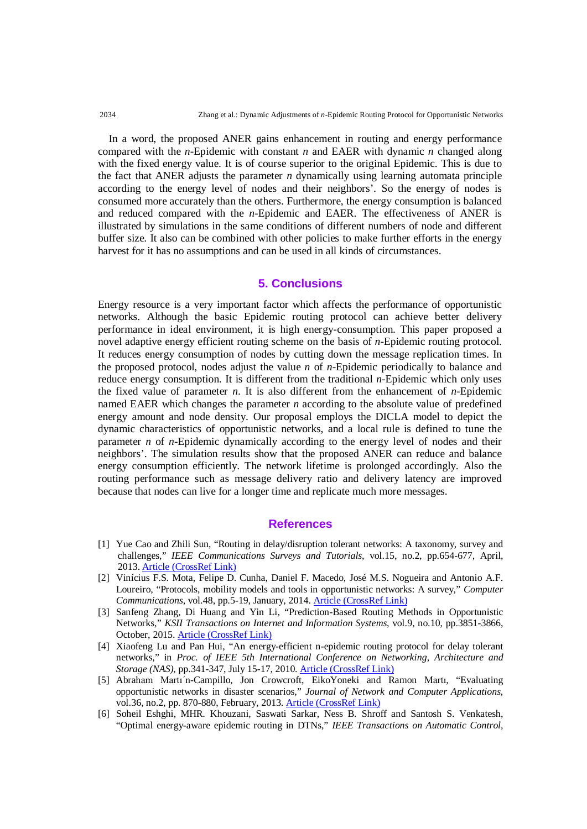In a word, the proposed ANER gains enhancement in routing and energy performance compared with the *n*-Epidemic with constant *n* and EAER with dynamic *n* changed along with the fixed energy value. It is of course superior to the original Epidemic. This is due to the fact that ANER adjusts the parameter *n* dynamically using learning automata principle according to the energy level of nodes and their neighbors'. So the energy of nodes is consumed more accurately than the others. Furthermore, the energy consumption is balanced and reduced compared with the *n*-Epidemic and EAER. The effectiveness of ANER is illustrated by simulations in the same conditions of different numbers of node and different buffer size. It also can be combined with other policies to make further efforts in the energy harvest for it has no assumptions and can be used in all kinds of circumstances.

## **5. Conclusions**

Energy resource is a very important factor which affects the performance of opportunistic networks. Although the basic Epidemic routing protocol can achieve better delivery performance in ideal environment, it is high energy-consumption. This paper proposed a novel adaptive energy efficient routing scheme on the basis of *n-*Epidemic routing protocol. It reduces energy consumption of nodes by cutting down the message replication times. In the proposed protocol, nodes adjust the value *n* of *n*-Epidemic periodically to balance and reduce energy consumption. It is different from the traditional *n*-Epidemic which only uses the fixed value of parameter *n*. It is also different from the enhancement of *n*-Epidemic named EAER which changes the parameter *n* according to the absolute value of predefined energy amount and node density. Our proposal employs the DICLA model to depict the dynamic characteristics of opportunistic networks, and a local rule is defined to tune the parameter *n* of *n*-Epidemic dynamically according to the energy level of nodes and their neighbors'. The simulation results show that the proposed ANER can reduce and balance energy consumption efficiently. The network lifetime is prolonged accordingly. Also the routing performance such as message delivery ratio and delivery latency are improved because that nodes can live for a longer time and replicate much more messages.

### **References**

- [1] Yue Cao and Zhili Sun, "Routing in delay/disruption tolerant networks: A taxonomy, survey and challenges," *IEEE Communications Surveys and Tutorials*, vol.15, no.2, pp.654-677, April, 2013. [Article \(CrossRef Link\)](http://dx.doi.org/doi:10.1109/SURV.2012.042512.00053)
- [2] Vinícius F.S. Mota, Felipe D. Cunha, Daniel F. Macedo, José M.S. Nogueira and Antonio A.F. Loureiro, "Protocols, mobility models and tools in opportunistic networks: A survey," *Computer Communications*, vol.48, pp.5-19, January, 2014. [Article \(CrossRef Link\)](http://dx.doi.org/10.1016/j.comcom.2014.03.019)
- [3] Sanfeng Zhang, Di Huang and Yin Li, "Prediction-Based Routing Methods in Opportunistic Networks," *KSII Transactions on Internet and Information Systems*, vol.9, no.10, pp.3851-3866, October, 2015. [Article \(CrossRef Link\)](http://dx.doi.org/10.3837/tiis.2015.10.005)
- [4] Xiaofeng Lu and Pan Hui, "An energy-efficient n-epidemic routing protocol for delay tolerant networks," in *Proc. of IEEE 5th International Conference on Networking, Architecture and Storage (NAS)*, pp.341-347, July 15-17, 2010. [Article \(CrossRef Link\)](http://dx.doi.org/10.1109/NAS.2010.46)
- [5] Abraham Martı´n-Campillo, Jon Crowcroft, EikoYoneki and Ramon Martı, "Evaluating opportunistic networks in disaster scenarios," *Journal of Network and Computer Applications*, vol.36, no.2, pp. 870-880, February, 2013. [Article \(CrossRef Link\)](http://dx.doi.org/10.1016/j.jnca.2012.11.001)
- [6] Soheil Eshghi, MHR. Khouzani, Saswati Sarkar, Ness B. Shroff and Santosh S. Venkatesh, "Optimal energy-aware epidemic routing in DTNs," *IEEE Transactions on Automatic Control*,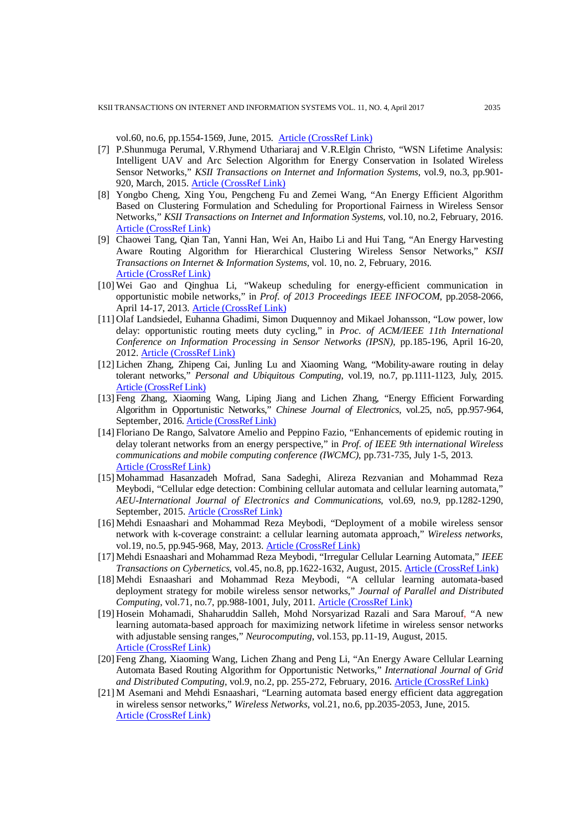vol.60, no.6, pp.1554-1569, June, 2015. [Article \(CrossRef Link\)](http://dx.doi.org/10.1109/TAC.2015.2396641)

- [7] P.Shunmuga Perumal, V.Rhymend Uthariaraj and V.R.Elgin Christo, "WSN Lifetime Analysis: Intelligent UAV and Arc Selection Algorithm for Energy Conservation in Isolated Wireless Sensor Networks," *KSII Transactions on Internet and Information Systems*, vol.9, no.3, pp.901- 920, March, 2015. [Article \(CrossRef Link\)](http://dx.doi.org/10.3837/tiis.2015.03.004)
- [8] Yongbo Cheng, Xing You, Pengcheng Fu and Zemei Wang, "An Energy Efficient Algorithm Based on Clustering Formulation and Scheduling for Proportional Fairness in Wireless Sensor Networks," *KSII Transactions on Internet and Information Systems*, vol.10, no.2, February, 2016. [Article \(CrossRef Link\)](http://dx.doi.org/10.3837/tiis.2016.02.007)
- [9] Chaowei Tang, Qian Tan, Yanni Han, Wei An, Haibo Li and Hui Tang, "An Energy Harvesting Aware Routing Algorithm for Hierarchical Clustering Wireless Sensor Networks," *KSII Transactions on Internet & Information Systems*, vol. 10, no. 2, February, 2016. [Article \(CrossRef Link\)](http://dx.doi.org/10.3837/tiis.2016.02.004)
- [10] Wei Gao and Qinghua Li, "Wakeup scheduling for energy-efficient communication in opportunistic mobile networks," in *Prof. of 2013 Proceedings IEEE INFOCOM*, pp.2058-2066, April 14-17, 2013. [Article \(CrossRef Link\)](http://dx.doi.org/10.1109/INFCOM.2013.6567007)
- [11] Olaf Landsiedel, Euhanna Ghadimi, Simon Duquennoy and Mikael Johansson, "Low power, low delay: opportunistic routing meets duty cycling," in *Proc. of ACM/IEEE 11th International Conference on Information Processing in Sensor Networks (IPSN)*, pp.185-196, April 16-20, 2012. [Article \(CrossRef Link\)](http://dx.doi.org/10.1109/IPSN.2012.6920956)
- [12] Lichen Zhang, Zhipeng Cai, Junling Lu and Xiaoming Wang, ["Mobility-aware routing in delay](http://link.springer.com/article/10.1007/s00779-015-0880-x)  [tolerant networks,"](http://link.springer.com/article/10.1007/s00779-015-0880-x) *Personal and Ubiquitous Computing*, vol.19, no.7, pp.1111-1123, July, 2015. [Article \(CrossRef Link\)](http://dx.doi.org/10.1007/s00779-015-0880-x)
- [13] Feng Zhang, Xiaoming Wang, Liping Jiang and Lichen Zhang, "Energy Efficient Forwarding Algorithm in Opportunistic Networks," *Chinese Journal of Electronics*, vol.25, no5, pp.957-964, September, 2016. [Article \(CrossRef Link\)](http://dx.doi.org/10.1049/cje.2016.08.035)
- [14] Floriano De Rango, Salvatore Amelio and Peppino Fazio, "Enhancements of epidemic routing in delay tolerant networks from an energy perspective," in *Prof. of IEEE 9th international Wireless communications and mobile computing conference (IWCMC)*, pp.731-735, July 1-5, 2013. [Article \(CrossRef Link\)](http://dx.doi.org/10.1109/IWCMC.2013.6583647)
- [15] Mohammad Hasanzadeh Mofrad, Sana Sadeghi, Alireza Rezvanian and Mohammad Reza Meybodi, "Cellular edge detection: Combining cellular automata and cellular learning automata," *AEU-International Journal of Electronics and Communications*, vol.69, no.9, pp.1282-1290, September, 2015. [Article \(CrossRef Link\)](http://dx.doi.org/10.1016/j.aeue.2015.05.010)
- [16] Mehdi Esnaashari and Mohammad Reza Meybodi, "Deployment of a mobile wireless sensor network with k-coverage constraint: a cellular learning automata approach," *Wireless networks*, vol.19, no.5, pp.945-968, May, 2013. [Article \(CrossRef Link\)](http://dx.doi.org/10.1007/s11276-012-0511-7)
- [17] Mehdi Esnaashari and Mohammad Reza Meybodi, "Irregular Cellular Learning Automata," *IEEE Transactions on Cybernetics*, vol.45, no.8, pp.1622-1632, August, 2015. [Article \(CrossRef Link\)](http://dx.doi.org/10.1109/TCYB.2014.2356591)
- [18] Mehdi Esnaashari and Mohammad Reza Meybodi, "A cellular learning automata-based deployment strategy for mobile wireless sensor networks," *Journal of Parallel and Distributed Computing*, vol.71, no.7, pp.988-1001, July, 2011. [Article \(CrossRef Link\)](http://dx.doi.org/10.1016/j.jpdc.2010.10.015)
- [19] Hosein Mohamadi, Shaharuddin Salleh, Mohd Norsyarizad Razali and Sara Marouf, "A new learning automata-based approach for maximizing network lifetime in wireless sensor networks with adjustable sensing ranges," *Neurocomputing*, vol.153, pp.11-19, August, 2015. [Article \(CrossRef Link\)](http://dx.doi.org/10.1016/j.neucom.2014.11.056)
- [20] Feng Zhang, Xiaoming Wang, Lichen Zhang and Peng Li, "An Energy Aware Cellular Learning Automata Based Routing Algorithm for Opportunistic Networks," *International Journal of Grid and Distributed Computing*, vol.9, no.2, pp. 255-272, February, 2016. [Article \(CrossRef Link\)](http://dx.doi.org/10.14257/ijgdc.2016.9.2.22)
- [21] M Asemani and Mehdi Esnaashari, "Learning automata based energy efficient data aggregation in wireless sensor networks," *Wireless Networks*, vol.21, no.6, pp.2035-2053, June, 2015. [Article \(CrossRef Link\)](http://dx.doi.org/10.1007/s11276-015-0894-3)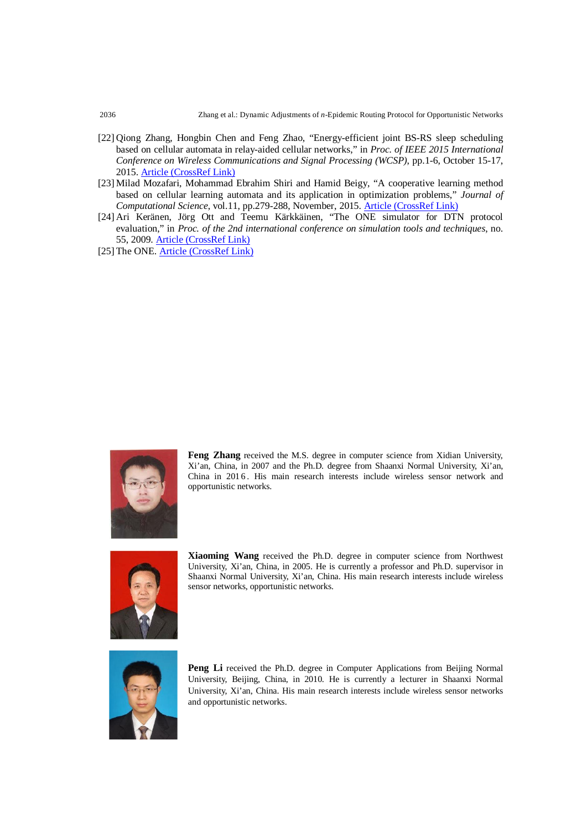- [22] Qiong Zhang, Hongbin Chen and Feng Zhao, "Energy-efficient joint BS-RS sleep scheduling based on cellular automata in relay-aided cellular networks," in *Proc. of IEEE 2015 International Conference on Wireless Communications and Signal Processing (WCSP)*, pp.1-6, October 15-17, 2015. [Article \(CrossRef Link\)](http://dx.doi.org/10.1109/WCSP.2015.7341006)
- [23] Milad Mozafari, Mohammad Ebrahim Shiri and Hamid Beigy, "A cooperative learning method based on cellular learning automata and its application in optimization problems," *Journal of Computational Science*, vol.11, pp.279-288, November, 2015. [Article \(CrossRef Link\)](http://dx.doi.org/10.1016/j.jocs.2015.08.002)
- [24] Ari Keränen, Jörg Ott and Teemu Kärkkäinen, "The ONE simulator for DTN protocol evaluation," in *Proc. of the 2nd international conference on simulation tools and techniques*, no. 55, 2009. [Article \(CrossRef Link\)](http://dx.doi.org/10.4108/ICST.SIMUTOOLS2009.5674)
- [25] The ONE. [Article \(CrossRef Link\)](http://www.netlab.tkk.fi/tutkimus/dtn/theone/)



**Feng Zhang** received the M.S. degree in computer science from Xidian University, Xi'an, China, in 2007 and the Ph.D. degree from Shaanxi Normal University, Xi'an, China in 201 6 . His main research interests include wireless sensor network and opportunistic networks.



**Xiaoming Wang** received the Ph.D. degree in computer science from Northwest University, Xi'an, China, in 2005. He is currently a professor and Ph.D. supervisor in Shaanxi Normal University, Xi'an, China. His main research interests include wireless sensor networks, opportunistic networks.



**Peng Li** received the Ph.D. degree in Computer Applications from Beijing Normal University, Beijing, China, in 2010. He is currently a lecturer in Shaanxi Normal University, Xi'an, China. His main research interests include wireless sensor networks and opportunistic networks.